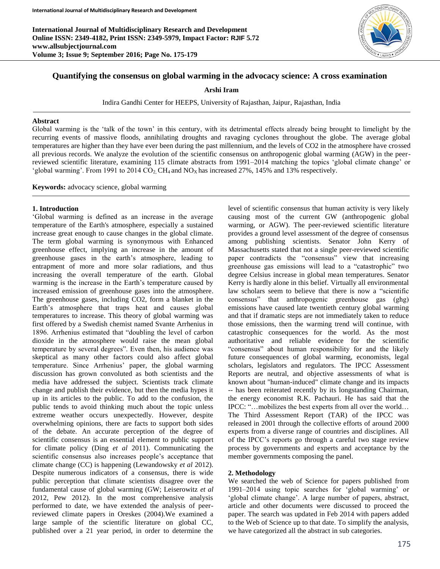**International Journal of Multidisciplinary Research and Development Online ISSN: 2349-4182, Print ISSN: 2349-5979, Impact Factor: RJIF 5.72 www.allsubjectjournal.com Volume 3; Issue 9; September 2016; Page No. 175-179**



## **Quantifying the consensus on global warming in the advocacy science: A cross examination**

**Arshi Iram**

Indira Gandhi Center for HEEPS, University of Rajasthan, Jaipur, Rajasthan, India

#### **Abstract**

Global warming is the 'talk of the town' in this century, with its detrimental effects already being brought to limelight by the recurring events of massive floods, annihilating droughts and ravaging cyclones throughout the globe. The average global temperatures are higher than they have ever been during the past millennium, and the levels of CO2 in the atmosphere have crossed all previous records. We analyze the evolution of the scientific consensus on anthropogenic global warming (AGW) in the peerreviewed scientific literature, examining 115 climate abstracts from 1991–2014 matching the topics 'global climate change' or 'global warming'. From 1991 to 2014  $CO_2$ , CH<sub>4</sub> and NO<sub>X</sub> has increased 27%, 145% and 13% respectively.

**Keywords:** advocacy science, global warming

## **1. Introduction**

'Global warming is defined as an increase in the average temperature of the Earth's atmosphere, especially a sustained increase great enough to cause changes in the global climate. The term global warming is synonymous with Enhanced greenhouse effect, implying an increase in the amount of greenhouse gases in the earth's atmosphere, leading to entrapment of more and more solar radiations, and thus increasing the overall temperature of the earth. Global warming is the increase in the Earth's temperature caused by increased emission of greenhouse gases into the atmosphere. The greenhouse gases, including CO2, form a blanket in the Earth's atmosphere that traps heat and causes global temperatures to increase. This theory of global warming was first offered by a Swedish chemist named Svante Arrhenius in 1896. Arrhenius estimated that "doubling the level of carbon dioxide in the atmosphere would raise the mean global temperature by several degrees". Even then, his audience was skeptical as many other factors could also affect global temperature. Since Arrhenius' paper, the global warming discussion has grown convoluted as both scientists and the media have addressed the subject. Scientists track climate change and publish their evidence, but then the media hypes it up in its articles to the public. To add to the confusion, the public tends to avoid thinking much about the topic unless extreme weather occurs unexpectedly. However, despite overwhelming opinions, there are facts to support both sides of the debate. An accurate perception of the degree of scientific consensus is an essential element to public support for climate policy (Ding *et al* 2011). Communicating the scientific consensus also increases people's acceptance that climate change (CC) is happening (Lewandowsky *et al* 2012). Despite numerous indicators of a consensus, there is wide public perception that climate scientists disagree over the fundamental cause of global warming (GW; Leiserowitz *et al* 2012, Pew 2012). In the most comprehensive analysis performed to date, we have extended the analysis of peerreviewed climate papers in Oreskes (2004).We examined a large sample of the scientific literature on global CC, published over a 21 year period, in order to determine the

level of scientific consensus that human activity is very likely causing most of the current GW (anthropogenic global warming, or AGW). The peer-reviewed scientific literature provides a ground level assessment of the degree of consensus among publishing scientists. Senator John Kerry of Massachusetts stated that not a single peer-reviewed scientific paper contradicts the "consensus" view that increasing greenhouse gas emissions will lead to a "catastrophic" two degree Celsius increase in global mean temperatures. Senator Kerry is hardly alone in this belief. Virtually all environmental law scholars seem to believe that there is now a "scientific consensus" that anthropogenic greenhouse gas (ghg) emissions have caused late twentieth century global warming and that if dramatic steps are not immediately taken to reduce those emissions, then the warming trend will continue, with catastrophic consequences for the world. As the most authoritative and reliable evidence for the scientific "consensus" about human responsibility for and the likely future consequences of global warming, economists, legal scholars, legislators and regulators. The IPCC Assessment Reports are neutral, and objective assessments of what is known about "human-induced" climate change and its impacts -- has been reiterated recently by its longstanding Chairman, the energy economist R.K. Pachauri. He has said that the IPCC: "…mobilizes the best experts from all over the world… The Third Assessment Report (TAR) of the IPCC was released in 2001 through the collective efforts of around 2000 experts from a diverse range of countries and disciplines. All of the IPCC's reports go through a careful two stage review process by governments and experts and acceptance by the member governments composing the panel.

### **2. Methodology**

We searched the web of Science for papers published from 1991–2014 using topic searches for 'global warming' or 'global climate change'. A large number of papers, abstract, article and other documents were discussed to proceed the paper. The search was updated in Feb 2014 with papers added to the Web of Science up to that date. To simplify the analysis, we have categorized all the abstract in sub categories.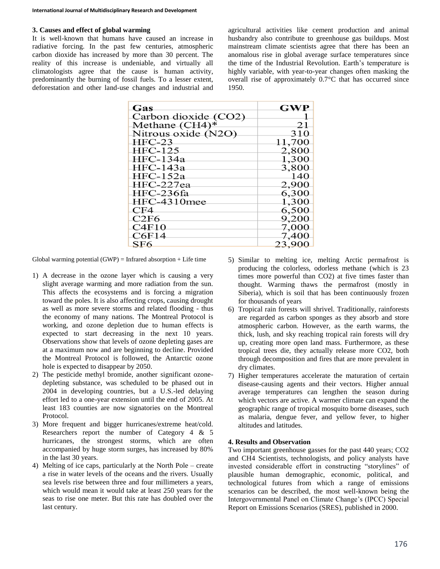# **3. Causes and effect of global warming**

It is well-known that humans have caused an increase in radiative forcing. In the past few centuries, atmospheric carbon dioxide has increased by more than 30 percent. The reality of this increase is undeniable, and virtually all climatologists agree that the cause is human activity, predominantly the burning of fossil fuels. To a lesser extent, deforestation and other land-use changes and industrial and

agricultural activities like cement production and animal husbandry also contribute to greenhouse gas buildups. Most mainstream climate scientists agree that there has been an anomalous rise in global average surface temperatures since the time of the Industrial Revolution. Earth's temperature is highly variable, with year-to-year changes often masking the overall rise of approximately 0.7°C that has occurred since 1950.

| Gas                  | <b>GWP</b> |
|----------------------|------------|
| Carbon dioxide (CO2) |            |
| Methane $(CH4)^*$    | 21         |
| Nitrous oxide (N2O)  | 310        |
| $HEC-23$             | 11,700     |
| <b>HFC-125</b>       | 2,800      |
| $HEC-134a$           | 1,300      |
| $HEC-143a$           | 3,800      |
| $HFC-152a$           | 140        |
| HFC-227ea            | 2,900      |
| HFC-236fa            | 6,300      |
| HFC-4310mee          | 1,300      |
| CF4                  | 6,500      |
| C2F6                 | 9,200      |
| C4F10                | 7,000      |
| C6F14                | 7,400      |
| SF <sub>6</sub>      | 23,900     |

Global warming potential  $(GWP)$  = Infrared absorption + Life time

- 1) A decrease in the ozone layer which is causing a very slight average warming and more radiation from the sun. This affects the ecosystems and is forcing a migration toward the poles. It is also affecting crops, causing drought as well as more severe storms and related flooding - thus the economy of many nations. The Montreal Protocol is working, and ozone depletion due to human effects is expected to start decreasing in the next 10 years. Observations show that levels of ozone depleting gases are at a maximum now and are beginning to decline. Provided the Montreal Protocol is followed, the Antarctic ozone hole is expected to disappear by 2050.
- 2) The pesticide methyl bromide, another significant ozonedepleting substance, was scheduled to be phased out in 2004 in developing countries, but a U.S.-led delaying effort led to a one-year extension until the end of 2005. At least 183 counties are now signatories on the Montreal Protocol.
- 3) More frequent and bigger hurricanes/extreme heat/cold. Researchers report the number of Category 4 & 5 hurricanes, the strongest storms, which are often accompanied by huge storm surges, has increased by 80% in the last 30 years.
- 4) Melting of ice caps, particularly at the North Pole create a rise in water levels of the oceans and the rivers. Usually sea levels rise between three and four millimeters a years, which would mean it would take at least 250 years for the seas to rise one meter. But this rate has doubled over the last century.
- 5) Similar to melting ice, melting Arctic permafrost is producing the colorless, odorless methane (which is 23 times more powerful than CO2) at five times faster than thought. Warming thaws the permafrost (mostly in Siberia), which is soil that has been continuously frozen for thousands of years
- 6) Tropical rain forests will shrivel. Traditionally, rainforests are regarded as carbon sponges as they absorb and store atmospheric carbon. However, as the earth warms, the thick, lush, and sky reaching tropical rain forests will dry up, creating more open land mass. Furthermore, as these tropical trees die, they actually release more CO2, both through decomposition and fires that are more prevalent in dry climates.
- 7) Higher temperatures accelerate the maturation of certain disease-causing agents and their vectors. Higher annual average temperatures can lengthen the season during which vectors are active. A warmer climate can expand the geographic range of tropical mosquito borne diseases, such as malaria, dengue fever, and yellow fever, to higher altitudes and latitudes.

### **4. Results and Observation**

Two important greenhouse gasses for the past 440 years; CO2 and CH4 Scientists, technologists, and policy analysts have invested considerable effort in constructing "storylines" of plausible human demographic, economic, political, and technological futures from which a range of emissions scenarios can be described, the most well-known being the Intergovernmental Panel on Climate Change's (IPCC) Special Report on Emissions Scenarios (SRES), published in 2000.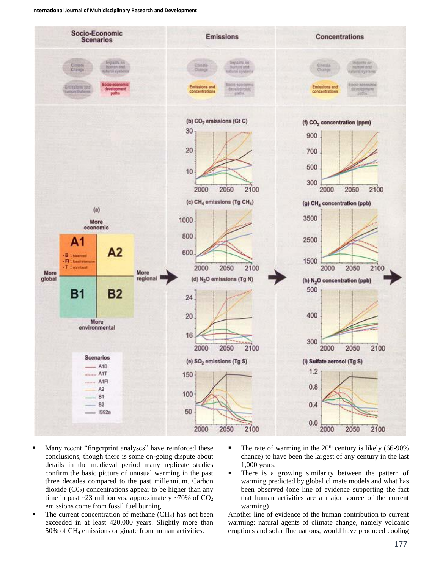

- **Many recent "fingerprint analyses" have reinforced these** conclusions, though there is some on-going dispute about details in the medieval period many replicate studies confirm the basic picture of unusual warming in the past three decades compared to the past millennium. Carbon dioxide  $(C0<sub>2</sub>)$  concentrations appear to be higher than any time in past ~23 million yrs. approximately ~70% of  $CO<sub>2</sub>$ emissions come from fossil fuel burning.
- The current concentration of methane (CH4) has not been exceeded in at least 420,000 years. Slightly more than 50% of CH<sup>4</sup> emissions originate from human activities.
- The rate of warming in the  $20<sup>th</sup>$  century is likely (66-90%) chance) to have been the largest of any century in the last 1,000 years.
- There is a growing similarity between the pattern of warming predicted by global climate models and what has been observed (one line of evidence supporting the fact that human activities are a major source of the current warming)

Another line of evidence of the human contribution to current warming: natural agents of climate change, namely volcanic eruptions and solar fluctuations, would have produced cooling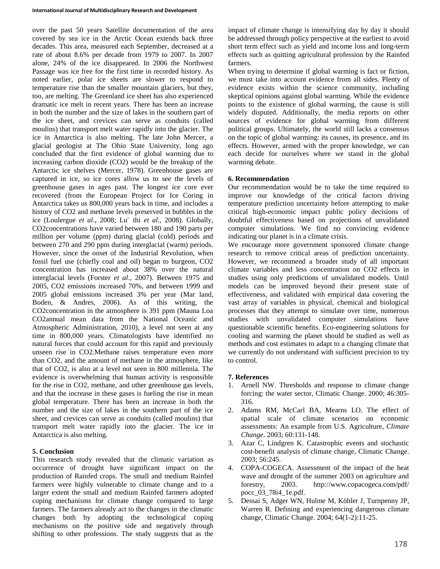over the past 50 years Satellite documentation of the area covered by sea ice in the Arctic Ocean extends back three decades. This area, measured each September, decreased at a rate of about 8.6% per decade from 1979 to 2007. In 2007 alone, 24% of the ice disappeared. In 2006 the Northwest Passage was ice free for the first time in recorded history. As noted earlier, polar ice sheets are slower to respond to temperature rise than the smaller mountain glaciers, but they, too, are melting. The Greenland ice sheet has also experienced dramatic ice melt in recent years. There has been an increase in both the number and the size of lakes in the southern part of the ice sheet, and crevices can serve as conduits (called moulins) that transport melt water rapidly into the glacier. The ice in Antarctica is also melting. The late John Mercer, a glacial geologist at The Ohio State University, long ago concluded that the first evidence of global warming due to increasing carbon dioxide (CO2) would be the breakup of the Antarctic ice shelves (Mercer, 1978). Greenhouse gases are captured in ice, so ice cores allow us to see the levels of greenhouse gases in ages past. The longest ice core ever recovered (from the European Project for Ice Coring in Antarctica takes us 800,000 years back in time, and includes a history of CO2 and methane levels preserved in bubbles in the ice (Loulergue *et al*., 2008; Lu¨ thi *et al*., 2008). Globally, CO2concentrations have varied between 180 and 190 parts per million per volume (ppm) during glacial (cold) periods and between 270 and 290 ppm during interglacial (warm) periods. However, since the onset of the Industrial Revolution, when fossil fuel use (chiefly coal and oil) began to burgeon, CO2 concentration has increased about 38% over the natural interglacial levels (Forster *et al*., 2007). Between 1975 and 2005, CO2 emissions increased 70%, and between 1999 and 2005 global emissions increased 3% per year (Mar land, Boden, & Andres, 2006). As of this writing, the CO2concentration in the atmosphere is 391 ppm (Mauna Loa CO2annual mean data from the National Oceanic and Atmospheric Administration, 2010), a level not seen at any time in 800,000 years. Climatologists have identified no natural forces that could account for this rapid and previously unseen rise in CO2.Methane raises temperature even more than CO2, and the amount of methane in the atmosphere, like that of CO2, is also at a level not seen in 800 millennia. The evidence is overwhelming that human activity is responsible for the rise in CO2, methane, and other greenhouse gas levels, and that the increase in these gases is fueling the rise in mean global temperature. There has been an increase in both the number and the size of lakes in the southern part of the ice sheet, and crevices can serve as conduits (called moulins) that transport melt water rapidly into the glacier. The ice in Antarctica is also melting.

## **5. Conclusion**

This research study revealed that the climatic variation as occurrence of drought have significant impact on the production of Rainfed crops. The small and medium Rainfed farmers were highly vulnerable to climate change and to a larger extent the small and medium Rainfed farmers adopted coping mechanisms for climate change compared to large farmers. The farmers already act to the changes in the climatic changes both by adopting the technological coping mechanisms on the positive side and negatively through shifting to other professions. The study suggests that as the

impact of climate change is intensifying day by day it should be addressed through policy perspective at the earliest to avoid short term effect such as yield and income loss and long-term effects such as quitting agricultural profession by the Rainfed farmers.

When trying to determine if global warming is fact or fiction, we must take into account evidence from all sides. Plenty of evidence exists within the science community, including skeptical opinions against global warming. While the evidence points to the existence of global warming, the cause is still widely disputed. Additionally, the media reports on other sources of evidence for global warming from different political groups. Ultimately, the world still lacks a consensus on the topic of global warming: its causes, its presence, and its effects. However, armed with the proper knowledge, we can each decide for ourselves where we stand in the global warming debate.

## **6. Recommendation**

Our recommendation would be to take the time required to improve our knowledge of the critical factors driving temperature prediction uncertainty before attempting to make critical high-economic impact public policy decisions of doubtful effectiveness based on projections of unvalidated computer simulations. We find no convincing evidence indicating our planet is in a climate crisis.

We encourage more government sponsored climate change research to remove critical areas of prediction uncertainty. However, we recommend a broader study of all important climate variables and less concentration on CO2 effects in studies using only predictions of unvalidated models. Until models can be improved beyond their present state of effectiveness, and validated with empirical data covering the vast array of variables in physical, chemical and biological processes that they attempt to simulate over time, numerous studies with unvalidated computer simulations have questionable scientific benefits. Eco-engineering solutions for cooling and warming the planet should be studied as well as methods and cost estimates to adapt to a changing climate that we currently do not understand with sufficient precision to try to control.

## **7. References**

- 1. Arnell NW. Thresholds and response to climate change forcing: the water sector, Climatic Change. 2000; 46:305- 316.
- 2. Adams RM, McCarl BA, Mearns LO. The effect of spatial scale of climate scenarios on economic assessments: An example from U.S. Agriculture, *Climate Change*. 2003; 60:131-148.
- 3. Azar C, Lindgren K. Catastrophic events and stochastic cost-benefit analysis of climate change, Climatic Change. 2003; 56:245.
- 4. COPA-COGECA. Assessment of the impact of the heat wave and drought of the summer 2003 on agriculture and forestry, 2003. http://www.copacogeca.com/pdf/ pocc\_03\_78i4\_1e.pdf.
- 5. Dessai S, Adger WN, Hulme M, Köhler J, Turnpenny JP, Warren R. Defining and experiencing dangerous climate change, Climatic Change. 2004; 64(1-2):11-25.